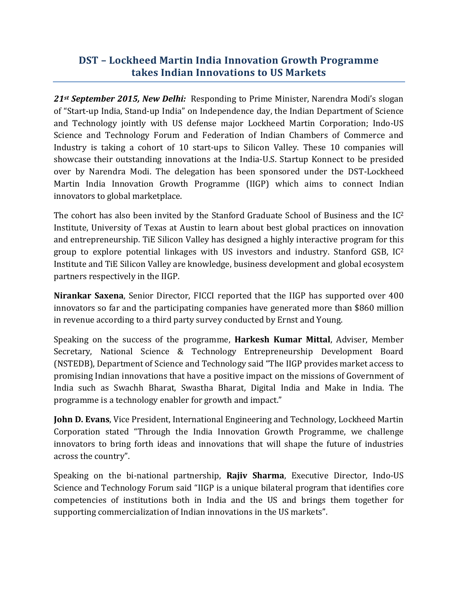## **DST – Lockheed Martin India Innovation Growth Programme takes Indian Innovations to US Markets**

*21st September 2015, New Delhi:* Responding to Prime Minister, Narendra Modi's slogan of "Start-up India, Stand-up India" on Independence day, the Indian Department of Science and Technology jointly with US defense major Lockheed Martin Corporation; Indo-US Science and Technology Forum and Federation of Indian Chambers of Commerce and Industry is taking a cohort of 10 start-ups to Silicon Valley. These 10 companies will showcase their outstanding innovations at the India-U.S. Startup Konnect to be presided over by Narendra Modi. The delegation has been sponsored under the DST-Lockheed Martin India Innovation Growth Programme (IIGP) which aims to connect Indian innovators to global marketplace.

The cohort has also been invited by the Stanford Graduate School of Business and the  $IC<sup>2</sup>$ Institute, University of Texas at Austin to learn about best global practices on innovation and entrepreneurship. TiE Silicon Valley has designed a highly interactive program for this group to explore potential linkages with US investors and industry. Stanford GSB, IC<sup>2</sup> Institute and TiE Silicon Valley are knowledge, business development and global ecosystem partners respectively in the IIGP.

**Nirankar Saxena**, Senior Director, FICCI reported that the IIGP has supported over 400 innovators so far and the participating companies have generated more than \$860 million in revenue according to a third party survey conducted by Ernst and Young.

Speaking on the success of the programme, **Harkesh Kumar Mittal**, Adviser, Member Secretary, National Science & Technology Entrepreneurship Development Board (NSTEDB), Department of Science and Technology said "The IIGP provides market access to promising Indian innovations that have a positive impact on the missions of Government of India such as Swachh Bharat, Swastha Bharat, Digital India and Make in India. The programme is a technology enabler for growth and impact."

**John D. Evans**, Vice President, International Engineering and Technology, Lockheed Martin Corporation stated "Through the India Innovation Growth Programme, we challenge innovators to bring forth ideas and innovations that will shape the future of industries across the country".

Speaking on the bi-national partnership, **Rajiv Sharma**, Executive Director, Indo-US Science and Technology Forum said "IIGP is a unique bilateral program that identifies core competencies of institutions both in India and the US and brings them together for supporting commercialization of Indian innovations in the US markets".